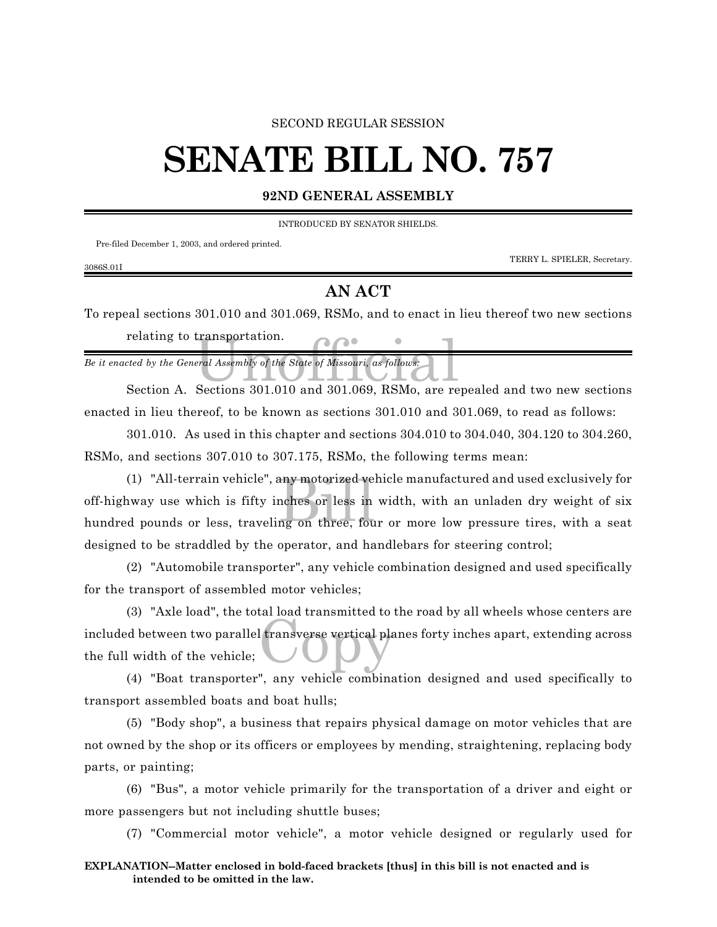#### SECOND REGULAR SESSION

### **SENATE BILL NO. 757**

**92ND GENERAL ASSEMBLY**

INTRODUCED BY SENATOR SHIELDS.

Pre-filed December 1, 2003, and ordered printed.

3086S.01I

TERRY L. SPIELER, Secretary.

### **AN ACT**

To repeal sections 301.010 and 301.069, RSMo, and to enact in lieu thereof two new sections relating to transportation.

transportation.<br>
For all Assembly of the State of Missouri, as follows:<br>
Sections 301 010 and 301 069 BSMo, are re *Be it enacted by the General Assembly of the State of Missouri, as follows:*

Section A. Sections 301.010 and 301.069, RSMo, are repealed and two new sections enacted in lieu thereof, to be known as sections 301.010 and 301.069, to read as follows:

301.010. As used in this chapter and sections 304.010 to 304.040, 304.120 to 304.260, RSMo, and sections 307.010 to 307.175, RSMo, the following terms mean:

any motorized ve<br>nches or less in<br>ng on three, fou (1) "All-terrain vehicle", any motorized vehicle manufactured and used exclusively for off-highway use which is fifty inches or less in width, with an unladen dry weight of six hundred pounds or less, traveling on three, four or more low pressure tires, with a seat designed to be straddled by the operator, and handlebars for steering control;

(2) "Automobile transporter", any vehicle combination designed and used specifically for the transport of assembled motor vehicles;

I transverse vertical pla (3) "Axle load", the total load transmitted to the road by all wheels whose centers are included between two parallel transverse vertical planes forty inches apart, extending across the full width of the vehicle;

(4) "Boat transporter", any vehicle combination designed and used specifically to transport assembled boats and boat hulls;

(5) "Body shop", a business that repairs physical damage on motor vehicles that are not owned by the shop or its officers or employees by mending, straightening, replacing body parts, or painting;

(6) "Bus", a motor vehicle primarily for the transportation of a driver and eight or more passengers but not including shuttle buses;

(7) "Commercial motor vehicle", a motor vehicle designed or regularly used for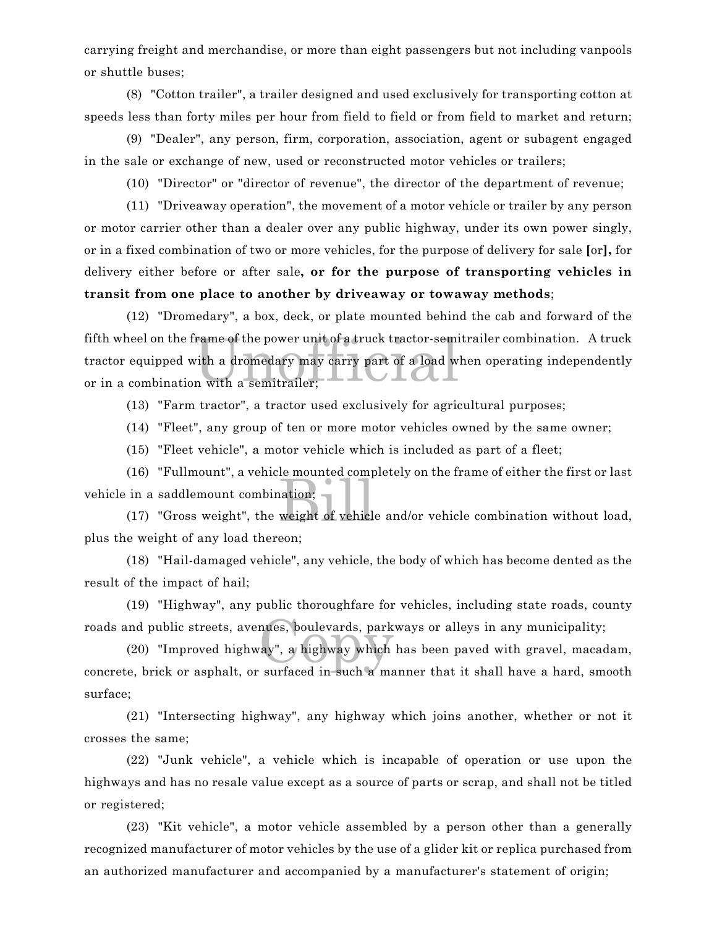carrying freight and merchandise, or more than eight passengers but not including vanpools or shuttle buses;

(8) "Cotton trailer", a trailer designed and used exclusively for transporting cotton at speeds less than forty miles per hour from field to field or from field to market and return;

(9) "Dealer", any person, firm, corporation, association, agent or subagent engaged in the sale or exchange of new, used or reconstructed motor vehicles or trailers;

(10) "Director" or "director of revenue", the director of the department of revenue;

(11) "Driveaway operation", the movement of a motor vehicle or trailer by any person or motor carrier other than a dealer over any public highway, under its own power singly, or in a fixed combination of two or more vehicles, for the purpose of delivery for sale **[**or**],** for delivery either before or after sale**, or for the purpose of transporting vehicles in transit from one place to another by driveaway or towaway methods**;

rame of the power unit of a truck tractor-semi<br>vith a dromedary may carry part of a load w<br>n with a semitrailer; (12) "Dromedary", a box, deck, or plate mounted behind the cab and forward of the fifth wheel on the frame of the power unit of a truck tractor-semitrailer combination. A truck tractor equipped with a dromedary may carry part of a load when operating independently or in a combination with a semitrailer;

(13) "Farm tractor", a tractor used exclusively for agricultural purposes;

(14) "Fleet", any group of ten or more motor vehicles owned by the same owner;

(15) "Fleet vehicle", a motor vehicle which is included as part of a fleet;

ne modified comparison:<br>weight of vehicle (16) "Fullmount", a vehicle mounted completely on the frame of either the first or last vehicle in a saddlemount combination;

(17) "Gross weight", the weight of vehicle and/or vehicle combination without load, plus the weight of any load thereon;

(18) "Hail-damaged vehicle", any vehicle, the body of which has become dented as the result of the impact of hail;

(19) "Highway", any public thoroughfare for vehicles, including state roads, county roads and public streets, avenues, boulevards, parkways or alleys in any municipality;

nues, boulevards, park<br>ay", a highway which<br>surfaced in such a ma (20) "Improved highway", a highway which has been paved with gravel, macadam, concrete, brick or asphalt, or surfaced in such a manner that it shall have a hard, smooth surface;

(21) "Intersecting highway", any highway which joins another, whether or not it crosses the same;

(22) "Junk vehicle", a vehicle which is incapable of operation or use upon the highways and has no resale value except as a source of parts or scrap, and shall not be titled or registered;

(23) "Kit vehicle", a motor vehicle assembled by a person other than a generally recognized manufacturer of motor vehicles by the use of a glider kit or replica purchased from an authorized manufacturer and accompanied by a manufacturer's statement of origin;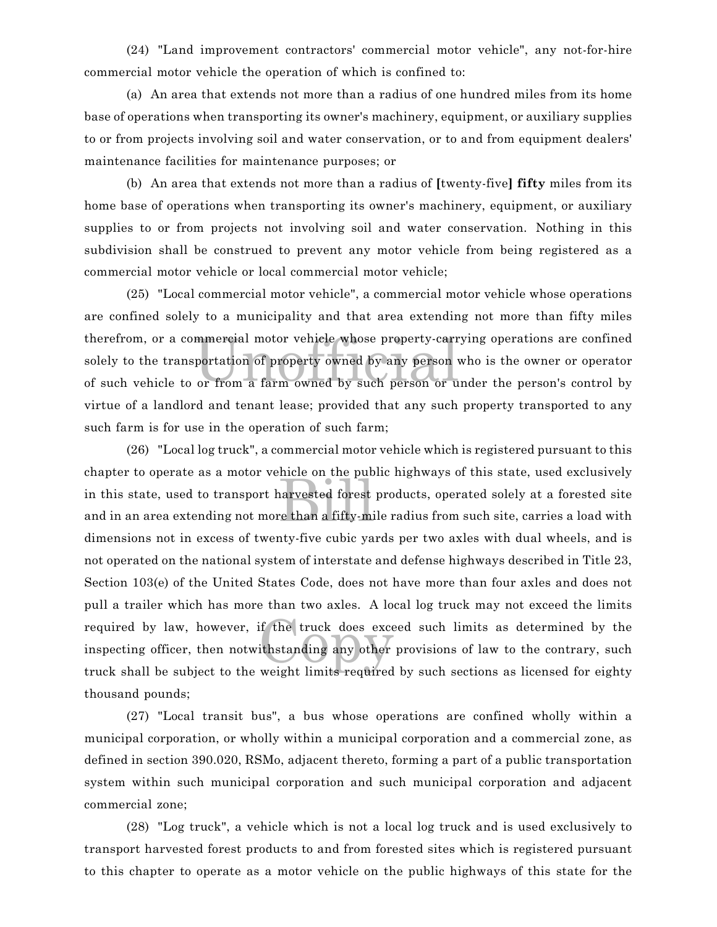(24) "Land improvement contractors' commercial motor vehicle", any not-for-hire commercial motor vehicle the operation of which is confined to:

(a) An area that extends not more than a radius of one hundred miles from its home base of operations when transporting its owner's machinery, equipment, or auxiliary supplies to or from projects involving soil and water conservation, or to and from equipment dealers' maintenance facilities for maintenance purposes; or

(b) An area that extends not more than a radius of **[**twenty-five**] fifty** miles from its home base of operations when transporting its owner's machinery, equipment, or auxiliary supplies to or from projects not involving soil and water conservation. Nothing in this subdivision shall be construed to prevent any motor vehicle from being registered as a commercial motor vehicle or local commercial motor vehicle;

mmercial motor vehicle whose property-carr<br>portation of property owned by any person<br>or from a farm owned by such person or u (25) "Local commercial motor vehicle", a commercial motor vehicle whose operations are confined solely to a municipality and that area extending not more than fifty miles therefrom, or a commercial motor vehicle whose property-carrying operations are confined solely to the transportation of property owned by any person who is the owner or operator of such vehicle to or from a farm owned by such person or under the person's control by virtue of a landlord and tenant lease; provided that any such property transported to any such farm is for use in the operation of such farm;

here on the past<br>narvested forest<br>re than a fifty-mi if the truck does exce<br>ithstanding any other<br>woight limits roquired (26) "Local log truck", a commercial motor vehicle which is registered pursuant to this chapter to operate as a motor vehicle on the public highways of this state, used exclusively in this state, used to transport harvested forest products, operated solely at a forested site and in an area extending not more than a fifty-mile radius from such site, carries a load with dimensions not in excess of twenty-five cubic yards per two axles with dual wheels, and is not operated on the national system of interstate and defense highways described in Title 23, Section 103(e) of the United States Code, does not have more than four axles and does not pull a trailer which has more than two axles. A local log truck may not exceed the limits required by law, however, if the truck does exceed such limits as determined by the inspecting officer, then notwithstanding any other provisions of law to the contrary, such truck shall be subject to the weight limits required by such sections as licensed for eighty thousand pounds;

(27) "Local transit bus", a bus whose operations are confined wholly within a municipal corporation, or wholly within a municipal corporation and a commercial zone, as defined in section 390.020, RSMo, adjacent thereto, forming a part of a public transportation system within such municipal corporation and such municipal corporation and adjacent commercial zone;

(28) "Log truck", a vehicle which is not a local log truck and is used exclusively to transport harvested forest products to and from forested sites which is registered pursuant to this chapter to operate as a motor vehicle on the public highways of this state for the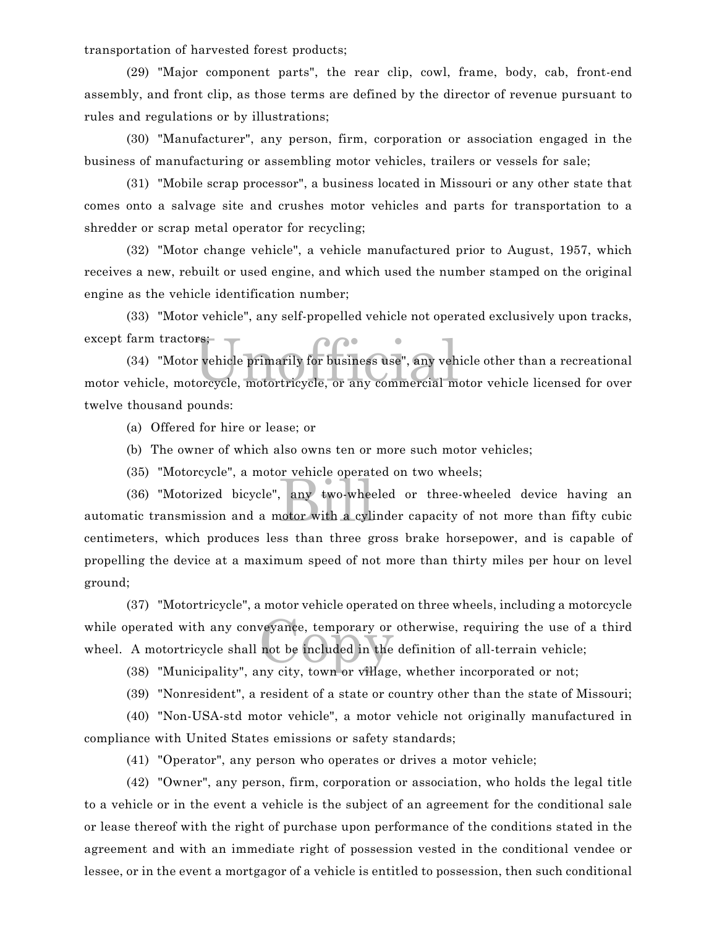transportation of harvested forest products;

(29) "Major component parts", the rear clip, cowl, frame, body, cab, front-end assembly, and front clip, as those terms are defined by the director of revenue pursuant to rules and regulations or by illustrations;

(30) "Manufacturer", any person, firm, corporation or association engaged in the business of manufacturing or assembling motor vehicles, trailers or vessels for sale;

(31) "Mobile scrap processor", a business located in Missouri or any other state that comes onto a salvage site and crushes motor vehicles and parts for transportation to a shredder or scrap metal operator for recycling;

(32) "Motor change vehicle", a vehicle manufactured prior to August, 1957, which receives a new, rebuilt or used engine, and which used the number stamped on the original engine as the vehicle identification number;

(33) "Motor vehicle", any self-propelled vehicle not operated exclusively upon tracks, except farm tractors;

rs;<br>r vehicle primarily for business use", any veh<br>corcycle, motortricycle, or any commercial m (34) "Motor vehicle primarily for business use", any vehicle other than a recreational motor vehicle, motorcycle, motortricycle, or any commercial motor vehicle licensed for over twelve thousand pounds:

(a) Offered for hire or lease; or

(b) The owner of which also owns ten or more such motor vehicles;

(35) "Motorcycle", a motor vehicle operated on two wheels;

and two-wheen<br>and two-wheen<br>the a cyling (36) "Motorized bicycle", any two-wheeled or three-wheeled device having an automatic transmission and a motor with a cylinder capacity of not more than fifty cubic centimeters, which produces less than three gross brake horsepower, and is capable of propelling the device at a maximum speed of not more than thirty miles per hour on level ground;

veyance, temporary or<br>not be included in the (37) "Motortricycle", a motor vehicle operated on three wheels, including a motorcycle while operated with any conveyance, temporary or otherwise, requiring the use of a third wheel. A motortricycle shall not be included in the definition of all-terrain vehicle;

(38) "Municipality", any city, town or village, whether incorporated or not;

(39) "Nonresident", a resident of a state or country other than the state of Missouri;

(40) "Non-USA-std motor vehicle", a motor vehicle not originally manufactured in compliance with United States emissions or safety standards;

(41) "Operator", any person who operates or drives a motor vehicle;

(42) "Owner", any person, firm, corporation or association, who holds the legal title to a vehicle or in the event a vehicle is the subject of an agreement for the conditional sale or lease thereof with the right of purchase upon performance of the conditions stated in the agreement and with an immediate right of possession vested in the conditional vendee or lessee, or in the event a mortgagor of a vehicle is entitled to possession, then such conditional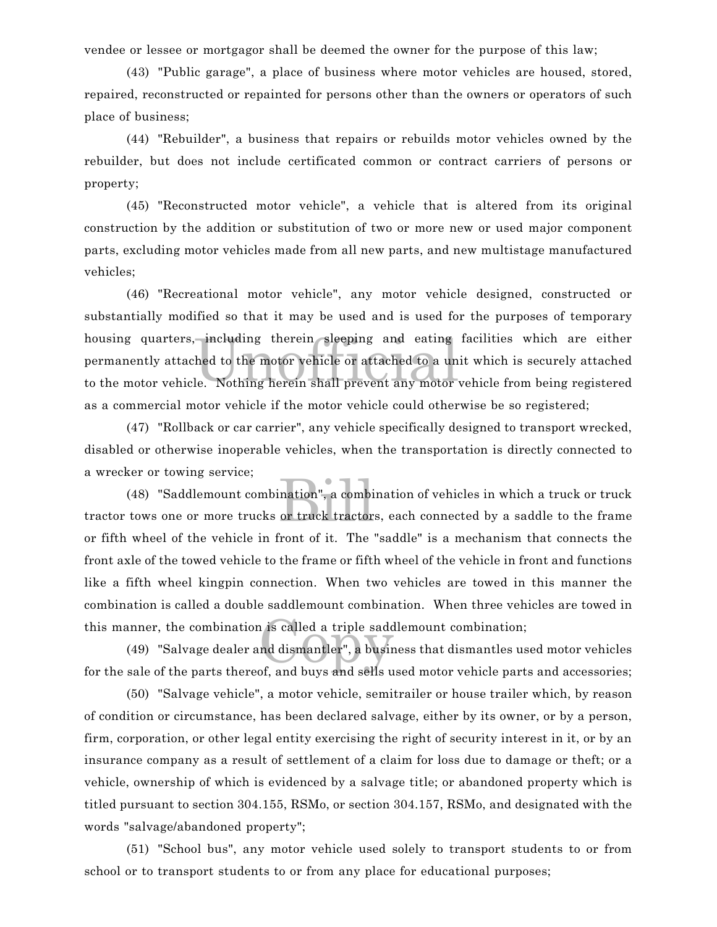vendee or lessee or mortgagor shall be deemed the owner for the purpose of this law;

(43) "Public garage", a place of business where motor vehicles are housed, stored, repaired, reconstructed or repainted for persons other than the owners or operators of such place of business;

(44) "Rebuilder", a business that repairs or rebuilds motor vehicles owned by the rebuilder, but does not include certificated common or contract carriers of persons or property;

(45) "Reconstructed motor vehicle", a vehicle that is altered from its original construction by the addition or substitution of two or more new or used major component parts, excluding motor vehicles made from all new parts, and new multistage manufactured vehicles;

including therein sleeping and eating<br>hed to the motor vehicle or attached to a un<br>le. Nothing herein shall prevent any motor (46) "Recreational motor vehicle", any motor vehicle designed, constructed or substantially modified so that it may be used and is used for the purposes of temporary housing quarters, including therein sleeping and eating facilities which are either permanently attached to the motor vehicle or attached to a unit which is securely attached to the motor vehicle. Nothing herein shall prevent any motor vehicle from being registered as a commercial motor vehicle if the motor vehicle could otherwise be so registered;

(47) "Rollback or car carrier", any vehicle specifically designed to transport wrecked, disabled or otherwise inoperable vehicles, when the transportation is directly connected to a wrecker or towing service;

ination", a combi<br>or truck tractor (48) "Saddlemount combination", a combination of vehicles in which a truck or truck tractor tows one or more trucks or truck tractors, each connected by a saddle to the frame or fifth wheel of the vehicle in front of it. The "saddle" is a mechanism that connects the front axle of the towed vehicle to the frame or fifth wheel of the vehicle in front and functions like a fifth wheel kingpin connection. When two vehicles are towed in this manner the combination is called a double saddlemount combination. When three vehicles are towed in this manner, the combination is called a triple saddlemount combination;

is called a triple sadd<br>nd dismantler", a busir<br>of and buys and solls u (49) "Salvage dealer and dismantler", a business that dismantles used motor vehicles for the sale of the parts thereof, and buys and sells used motor vehicle parts and accessories;

(50) "Salvage vehicle", a motor vehicle, semitrailer or house trailer which, by reason of condition or circumstance, has been declared salvage, either by its owner, or by a person, firm, corporation, or other legal entity exercising the right of security interest in it, or by an insurance company as a result of settlement of a claim for loss due to damage or theft; or a vehicle, ownership of which is evidenced by a salvage title; or abandoned property which is titled pursuant to section 304.155, RSMo, or section 304.157, RSMo, and designated with the words "salvage/abandoned property";

(51) "School bus", any motor vehicle used solely to transport students to or from school or to transport students to or from any place for educational purposes;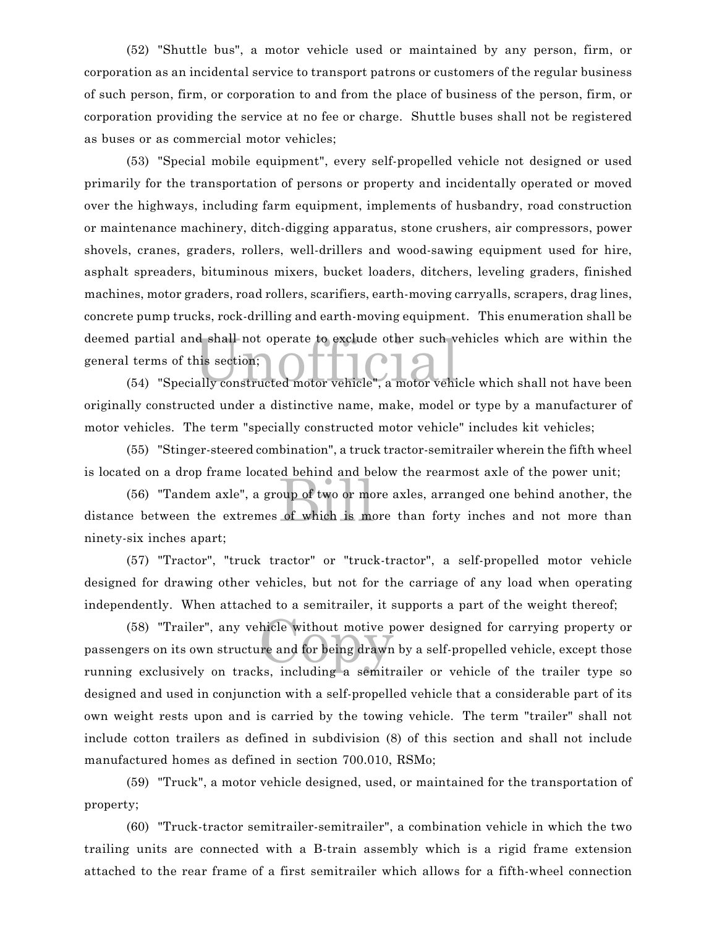(52) "Shuttle bus", a motor vehicle used or maintained by any person, firm, or corporation as an incidental service to transport patrons or customers of the regular business of such person, firm, or corporation to and from the place of business of the person, firm, or corporation providing the service at no fee or charge. Shuttle buses shall not be registered as buses or as commercial motor vehicles;

Unity of this section;<br>(54) "Specially constructed motor vehicle", a motor vehicle which shall not have been (53) "Special mobile equipment", every self-propelled vehicle not designed or used primarily for the transportation of persons or property and incidentally operated or moved over the highways, including farm equipment, implements of husbandry, road construction or maintenance machinery, ditch-digging apparatus, stone crushers, air compressors, power shovels, cranes, graders, rollers, well-drillers and wood-sawing equipment used for hire, asphalt spreaders, bituminous mixers, bucket loaders, ditchers, leveling graders, finished machines, motor graders, road rollers, scarifiers, earth-moving carryalls, scrapers, drag lines, concrete pump trucks, rock-drilling and earth-moving equipment. This enumeration shall be deemed partial and shall not operate to exclude other such vehicles which are within the general terms of this section;

originally constructed under a distinctive name, make, model or type by a manufacturer of motor vehicles. The term "specially constructed motor vehicle" includes kit vehicles;

(55) "Stinger-steered combination", a truck tractor-semitrailer wherein the fifth wheel is located on a drop frame located behind and below the rearmost axle of the power unit;

behind and be<br>bup of two or mo<br>of which is mo (56) "Tandem axle", a group of two or more axles, arranged one behind another, the distance between the extremes of which is more than forty inches and not more than ninety-six inches apart;

(57) "Tractor", "truck tractor" or "truck-tractor", a self-propelled motor vehicle designed for drawing other vehicles, but not for the carriage of any load when operating independently. When attached to a semitrailer, it supports a part of the weight thereof;

hicle without motive p<br>re and for being drawn<br>ks. including a somitr (58) "Trailer", any vehicle without motive power designed for carrying property or passengers on its own structure and for being drawn by a self-propelled vehicle, except those running exclusively on tracks, including a semitrailer or vehicle of the trailer type so designed and used in conjunction with a self-propelled vehicle that a considerable part of its own weight rests upon and is carried by the towing vehicle. The term "trailer" shall not include cotton trailers as defined in subdivision (8) of this section and shall not include manufactured homes as defined in section 700.010, RSMo;

(59) "Truck", a motor vehicle designed, used, or maintained for the transportation of property;

(60) "Truck-tractor semitrailer-semitrailer", a combination vehicle in which the two trailing units are connected with a B-train assembly which is a rigid frame extension attached to the rear frame of a first semitrailer which allows for a fifth-wheel connection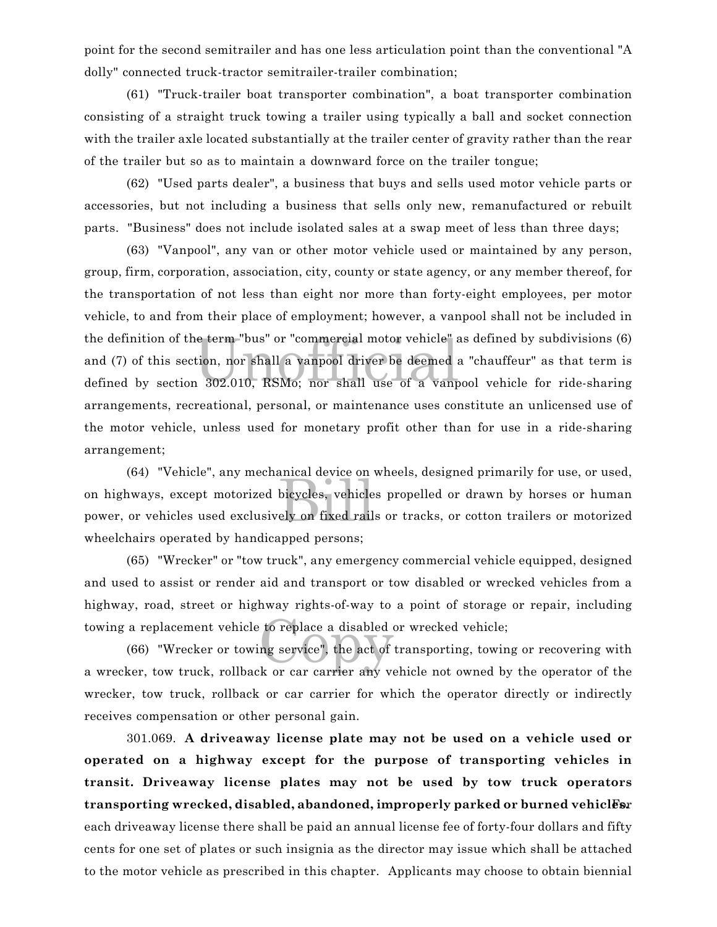point for the second semitrailer and has one less articulation point than the conventional "A dolly" connected truck-tractor semitrailer-trailer combination;

(61) "Truck-trailer boat transporter combination", a boat transporter combination consisting of a straight truck towing a trailer using typically a ball and socket connection with the trailer axle located substantially at the trailer center of gravity rather than the rear of the trailer but so as to maintain a downward force on the trailer tongue;

(62) "Used parts dealer", a business that buys and sells used motor vehicle parts or accessories, but not including a business that sells only new, remanufactured or rebuilt parts. "Business" does not include isolated sales at a swap meet of less than three days;

the definition of the term "bus" or "commercial motor vehicle" as defined by subdivisions (6)<br>and (7) of this section, nor shall a vanpool driver be deemed a "chauffeur" as that term is<br>defined by section 302.010, RSMo; no (63) "Vanpool", any van or other motor vehicle used or maintained by any person, group, firm, corporation, association, city, county or state agency, or any member thereof, for the transportation of not less than eight nor more than forty-eight employees, per motor vehicle, to and from their place of employment; however, a vanpool shall not be included in the definition of the term "bus" or "commercial motor vehicle" as defined by subdivisions (6) and (7) of this section, nor shall a vanpool driver be deemed a "chauffeur" as that term is arrangements, recreational, personal, or maintenance uses constitute an unlicensed use of the motor vehicle, unless used for monetary profit other than for use in a ride-sharing arrangement;

bicycles, vehicle<br>bicycles, vehicle<br>ely on fixed rail (64) "Vehicle", any mechanical device on wheels, designed primarily for use, or used, on highways, except motorized bicycles, vehicles propelled or drawn by horses or human power, or vehicles used exclusively on fixed rails or tracks, or cotton trailers or motorized wheelchairs operated by handicapped persons;

(65) "Wrecker" or "tow truck", any emergency commercial vehicle equipped, designed and used to assist or render aid and transport or tow disabled or wrecked vehicles from a highway, road, street or highway rights-of-way to a point of storage or repair, including towing a replacement vehicle to replace a disabled or wrecked vehicle;

to replace a disabled<br>ng service", the act of (66) "Wrecker or towing service", the act of transporting, towing or recovering with a wrecker, tow truck, rollback or car carrier any vehicle not owned by the operator of the wrecker, tow truck, rollback or car carrier for which the operator directly or indirectly receives compensation or other personal gain.

301.069. **A driveaway license plate may not be used on a vehicle used or operated on a highway except for the purpose of transporting vehicles in transit. Driveaway license plates may not be used by tow truck operators** transporting wrecked, disabled, abandoned, improperly parked or burned vehiclesr each driveaway license there shall be paid an annual license fee of forty-four dollars and fifty cents for one set of plates or such insignia as the director may issue which shall be attached to the motor vehicle as prescribed in this chapter. Applicants may choose to obtain biennial